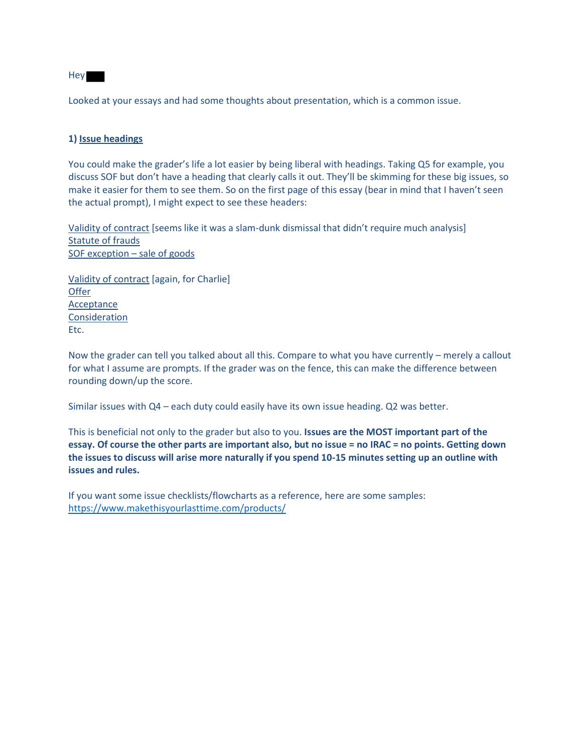

Looked at your essays and had some thoughts about presentation, which is a common issue.

### **1) Issue headings**

You could make the grader's life a lot easier by being liberal with headings. Taking Q5 for example, you discuss SOF but don't have a heading that clearly calls it out. They'll be skimming for these big issues, so make it easier for them to see them. So on the first page of this essay (bear in mind that I haven't seen the actual prompt), I might expect to see these headers:

Validity of contract [seems like it was a slam-dunk dismissal that didn't require much analysis] Statute of frauds SOF exception – sale of goods

Validity of contract [again, for Charlie] **Offer** Acceptance **Consideration** Etc.

Now the grader can tell you talked about all this. Compare to what you have currently – merely a callout for what I assume are prompts. If the grader was on the fence, this can make the difference between rounding down/up the score.

Similar issues with Q4 – each duty could easily have its own issue heading. Q2 was better.

This is beneficial not only to the grader but also to you. **Issues are the MOST important part of the essay. Of course the other parts are important also, but no issue = no IRAC = no points. Getting down the issues to discuss will arise more naturally if you spend 10-15 minutes setting up an outline with issues and rules.**

If you want some issue checklists/flowcharts as a reference, here are some samples: <https://www.makethisyourlasttime.com/products/>